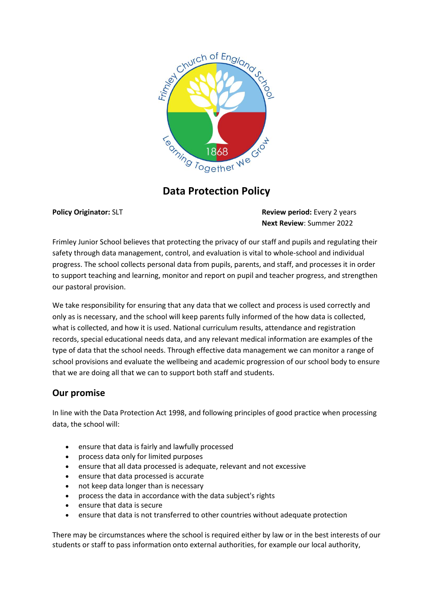

# **Data Protection Policy**

**Policy Originator:** SLT **Review period:** Every 2 years **Next Review**: Summer 2022

Frimley Junior School believes that protecting the privacy of our staff and pupils and regulating their safety through data management, control, and evaluation is vital to whole-school and individual progress. The school collects personal data from pupils, parents, and staff, and processes it in order to support teaching and learning, monitor and report on pupil and teacher progress, and strengthen our pastoral provision.

We take responsibility for ensuring that any data that we collect and process is used correctly and only as is necessary, and the school will keep parents fully informed of the how data is collected, what is collected, and how it is used. National curriculum results, attendance and registration records, special educational needs data, and any relevant medical information are examples of the type of data that the school needs. Through effective data management we can monitor a range of school provisions and evaluate the wellbeing and academic progression of our school body to ensure that we are doing all that we can to support both staff and students.

## **Our promise**

In line with the Data Protection Act 1998, and following principles of good practice when processing data, the school will:

- ensure that data is fairly and lawfully processed
- process data only for limited purposes
- ensure that all data processed is adequate, relevant and not excessive
- ensure that data processed is accurate
- not keep data longer than is necessary
- process the data in accordance with the data subject's rights
- ensure that data is secure
- ensure that data is not transferred to other countries without adequate protection

There may be circumstances where the school is required either by law or in the best interests of our students or staff to pass information onto external authorities, for example our local authority,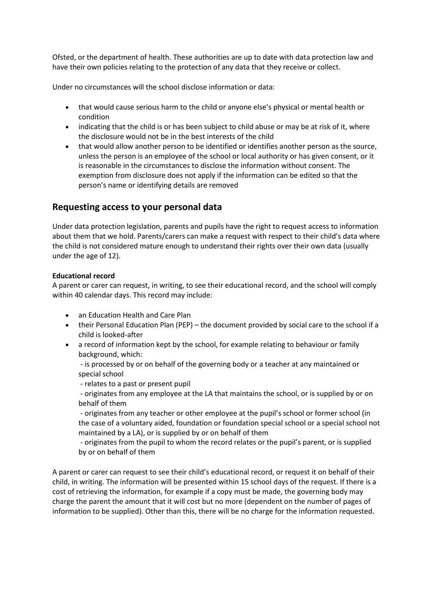Ofsted, or the department of health. These authorities are up to date with data protection law and have their own policies relating to the protection of any data that they receive or collect.

Under no circumstances will the school disclose information or data:

- that would cause serious harm to the child or anyone else's physical or mental health or condition
- indicating that the child is or has been subject to child abuse or may be at risk of it, where the disclosure would not be in the best interests of the child
- that would allow another person to be identified or identifies another person as the source, unless the person is an employee of the school or local authority or has given consent, or it is reasonable in the circumstances to disclose the information without consent. The exemption from disclosure does not apply if the information can be edited so that the person's name or identifying details are removed

## **Requesting access to your personal data**

Under data protection legislation, parents and pupils have the right to request access to information about them that we hold. Parents/carers can make a request with respect to their child's data where the child is not considered mature enough to understand their rights over their own data (usually under the age of 12).

#### **Educational record**

A parent or carer can request, in writing, to see their educational record, and the school will comply within 40 calendar days. This record may include:

- an Education Health and Care Plan
- their Personal Education Plan (PEP) the document provided by social care to the school if a child is looked-after
- a record of information kept by the school, for example relating to behaviour or family background, which:

- is processed by or on behalf of the governing body or a teacher at any maintained or special school

- relates to a past or present pupil

- originates from any employee at the LA that maintains the school, or is supplied by or on behalf of them

- originates from any teacher or other employee at the pupil's school or former school (in the case of a voluntary aided, foundation or foundation special school or a special school not maintained by a LA), or is supplied by or on behalf of them

- originates from the pupil to whom the record relates or the pupil's parent, or is supplied by or on behalf of them

A parent or carer can request to see their child's educational record, or request it on behalf of their child, in writing. The information will be presented within 15 school days of the request. If there is a cost of retrieving the information, for example if a copy must be made, the governing body may charge the parent the amount that it will cost but no more (dependent on the number of pages of information to be supplied). Other than this, there will be no charge for the information requested.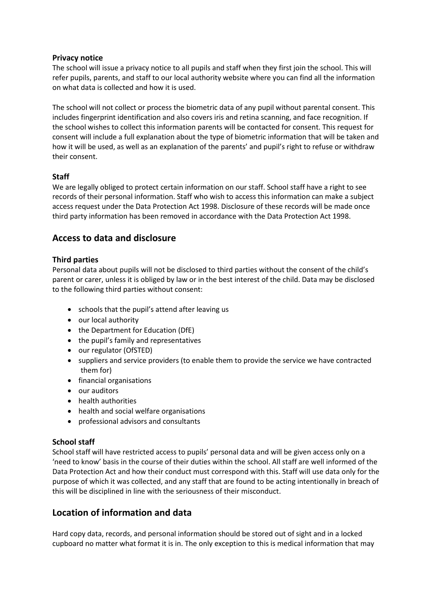### **Privacy notice**

The school will issue a privacy notice to all pupils and staff when they first join the school. This will refer pupils, parents, and staff to our local authority website where you can find all the information on what data is collected and how it is used.

The school will not collect or process the biometric data of any pupil without parental consent. This includes fingerprint identification and also covers iris and retina scanning, and face recognition. If the school wishes to collect this information parents will be contacted for consent. This request for consent will include a full explanation about the type of biometric information that will be taken and how it will be used, as well as an explanation of the parents' and pupil's right to refuse or withdraw their consent.

### **Staff**

We are legally obliged to protect certain information on our staff. School staff have a right to see records of their personal information. Staff who wish to access this information can make a subject access request under the Data Protection Act 1998. Disclosure of these records will be made once third party information has been removed in accordance with the Data Protection Act 1998.

## **Access to data and disclosure**

#### **Third parties**

Personal data about pupils will not be disclosed to third parties without the consent of the child's parent or carer, unless it is obliged by law or in the best interest of the child. Data may be disclosed to the following third parties without consent:

- schools that the pupil's attend after leaving us
- our local authority
- the Department for Education (DfE)
- the pupil's family and representatives
- our regulator (OfSTED)
- suppliers and service providers (to enable them to provide the service we have contracted them for)
- financial organisations
- our auditors
- health authorities
- health and social welfare organisations
- professional advisors and consultants

#### **School staff**

School staff will have restricted access to pupils' personal data and will be given access only on a 'need to know' basis in the course of their duties within the school. All staff are well informed of the Data Protection Act and how their conduct must correspond with this. Staff will use data only for the purpose of which it was collected, and any staff that are found to be acting intentionally in breach of this will be disciplined in line with the seriousness of their misconduct.

## **Location of information and data**

Hard copy data, records, and personal information should be stored out of sight and in a locked cupboard no matter what format it is in. The only exception to this is medical information that may